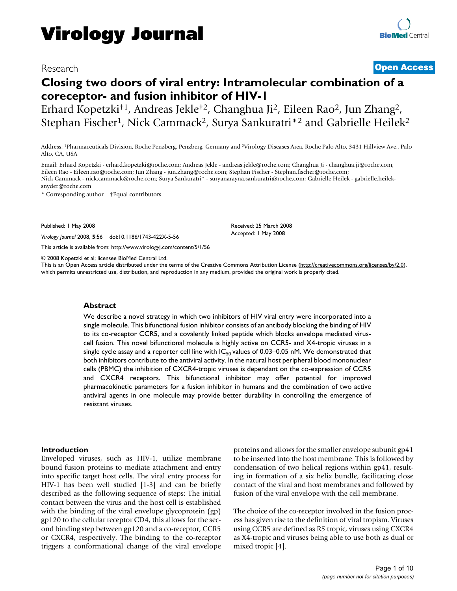# Research **[Open Access](http://www.biomedcentral.com/info/about/charter/)**

# **Closing two doors of viral entry: Intramolecular combination of a coreceptor- and fusion inhibitor of HIV-1**

Erhard Kopetzki†1, Andreas Jekle†2, Changhua Ji2, Eileen Rao2, Jun Zhang2, Stephan Fischer<sup>1</sup>, Nick Cammack<sup>2</sup>, Surya Sankuratri<sup>\*2</sup> and Gabrielle Heilek<sup>2</sup>

Address: 1Pharmaceuticals Division, Roche Penzberg, Penzberg, Germany and 2Virology Diseases Area, Roche Palo Alto, 3431 Hillview Ave., Palo Alto, CA, USA

Email: Erhard Kopetzki - erhard.kopetzki@roche.com; Andreas Jekle - andreas.jekle@roche.com; Changhua Ji - changhua.ji@roche.com; Eileen Rao - Eileen.rao@roche.com; Jun Zhang - jun.zhang@roche.com; Stephan Fischer - Stephan.fischer@roche.com; Nick Cammack - nick.cammack@roche.com; Surya Sankuratri\* - suryanarayna.sankuratri@roche.com; Gabrielle Heilek - gabrielle.heileksnyder@roche.com

\* Corresponding author †Equal contributors

Published: 1 May 2008

*Virology Journal* 2008, **5**:56 doi:10.1186/1743-422X-5-56

[This article is available from: http://www.virologyj.com/content/5/1/56](http://www.virologyj.com/content/5/1/56)

© 2008 Kopetzki et al; licensee BioMed Central Ltd.

This is an Open Access article distributed under the terms of the Creative Commons Attribution License [\(http://creativecommons.org/licenses/by/2.0\)](http://creativecommons.org/licenses/by/2.0), which permits unrestricted use, distribution, and reproduction in any medium, provided the original work is properly cited.

Received: 25 March 2008 Accepted: 1 May 2008

### **Abstract**

We describe a novel strategy in which two inhibitors of HIV viral entry were incorporated into a single molecule. This bifunctional fusion inhibitor consists of an antibody blocking the binding of HIV to its co-receptor CCR5, and a covalently linked peptide which blocks envelope mediated viruscell fusion. This novel bifunctional molecule is highly active on CCR5- and X4-tropic viruses in a single cycle assay and a reporter cell line with  $IC_{50}$  values of 0.03–0.05 nM. We demonstrated that both inhibitors contribute to the antiviral activity. In the natural host peripheral blood mononuclear cells (PBMC) the inhibition of CXCR4-tropic viruses is dependant on the co-expression of CCR5 and CXCR4 receptors. This bifunctional inhibitor may offer potential for improved pharmacokinetic parameters for a fusion inhibitor in humans and the combination of two active antiviral agents in one molecule may provide better durability in controlling the emergence of resistant viruses.

### **Introduction**

Enveloped viruses, such as HIV-1, utilize membrane bound fusion proteins to mediate attachment and entry into specific target host cells. The viral entry process for HIV-1 has been well studied [1-3] and can be briefly described as the following sequence of steps: The initial contact between the virus and the host cell is established with the binding of the viral envelope glycoprotein (gp) gp120 to the cellular receptor CD4, this allows for the second binding step between gp120 and a co-receptor, CCR5 or CXCR4, respectively. The binding to the co-receptor triggers a conformational change of the viral envelope proteins and allows for the smaller envelope subunit gp41 to be inserted into the host membrane. This is followed by condensation of two helical regions within gp41, resulting in formation of a six helix bundle, facilitating close contact of the viral and host membranes and followed by fusion of the viral envelope with the cell membrane.

The choice of the co-receptor involved in the fusion process has given rise to the definition of viral tropism. Viruses using CCR5 are defined as R5 tropic, viruses using CXCR4 as X4-tropic and viruses being able to use both as dual or mixed tropic [4].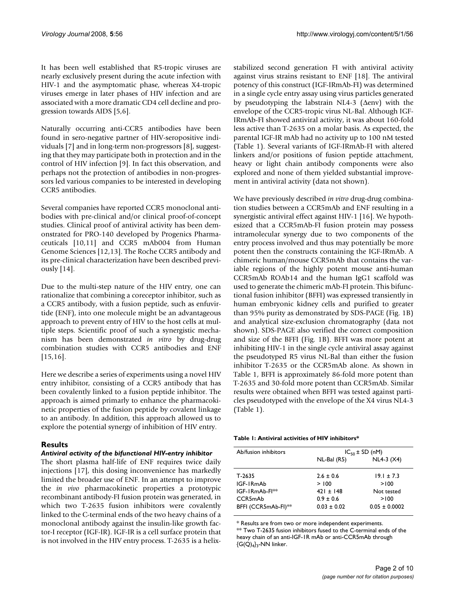It has been well established that R5-tropic viruses are nearly exclusively present during the acute infection with HIV-1 and the asymptomatic phase, whereas X4-tropic viruses emerge in later phases of HIV infection and are associated with a more dramatic CD4 cell decline and progression towards AIDS [5,6].

Naturally occurring anti-CCR5 antibodies have been found in sero-negative partner of HIV-seropositive individuals [7] and in long-term non-progressors [8], suggesting that they may participate both in protection and in the control of HIV infection [9]. In fact this observation, and perhaps not the protection of antibodies in non-progressors led various companies to be interested in developing CCR5 antibodies.

Several companies have reported CCR5 monoclonal antibodies with pre-clinical and/or clinical proof-of-concept studies. Clinical proof of antiviral activity has been demonstrated for PRO-140 developed by Progenics Pharmaceuticals [10,11] and CCR5 mAb004 from Human Genome Sciences [12,13]. The Roche CCR5 antibody and its pre-clinical characterization have been described previously [14].

Due to the multi-step nature of the HIV entry, one can rationalize that combining a coreceptor inhibitor, such as a CCR5 antibody, with a fusion peptide, such as enfuvirtide (ENF), into one molecule might be an advantageous approach to prevent entry of HIV to the host cells at multiple steps. Scientific proof of such a synergistic mechanism has been demonstrated *in vitro* by drug-drug combination studies with CCR5 antibodies and ENF [15,16].

Here we describe a series of experiments using a novel HIV entry inhibitor, consisting of a CCR5 antibody that has been covalently linked to a fusion peptide inhibitor. The approach is aimed primarly to enhance the pharmacokinetic properties of the fusion peptide by covalent linkage to an antibody. In addition, this approach allowed us to explore the potential synergy of inhibition of HIV entry.

# **Results**

# *Antiviral activity of the bifunctional HIV-entry inhibitor*

The short plasma half-life of ENF requires twice daily injections [17], this dosing inconvenience has markedly limited the broader use of ENF. In an attempt to improve the *in vivo* pharmacokinetic properties a prototypic recombinant antibody-FI fusion protein was generated, in which two T-2635 fusion inhibitors were covalently linked to the C-terminal ends of the two heavy chains of a monoclonal antibody against the insulin-like growth factor-I receptor (IGF-IR). IGF-IR is a cell surface protein that is not involved in the HIV entry process. T-2635 is a helixstabilized second generation FI with antiviral activity against virus strains resistant to ENF [18]. The antiviral potency of this construct (IGF-IRmAb-FI) was determined in a single cycle entry assay using virus particles generated by pseudotyping the labstrain NL4-3 (Δenv) with the envelope of the CCR5-tropic virus NL-Bal. Although IGF-IRmAb-FI showed antiviral activity, it was about 160-fold less active than T-2635 on a molar basis. As expected, the parental IGF-IR mAb had no activity up to 100 nM tested (Table 1). Several variants of IGF-IRmAb-FI with altered linkers and/or positions of fusion peptide attachment, heavy or light chain antibody components were also explored and none of them yielded substantial improvement in antiviral activity (data not shown).

We have previously described *in vitro* drug-drug combination studies between a CCR5mAb and ENF resulting in a synergistic antiviral effect against HIV-1 [16]. We hypothesized that a CCR5mAb-FI fusion protein may possess intramolecular synergy due to two components of the entry process involved and thus may potentially be more potent then the constructs containing the IGF-IRmAb. A chimeric human/mouse CCR5mAb that contains the variable regions of the highly potent mouse anti-human CCR5mAb ROAb14 and the human IgG1 scaffold was used to generate the chimeric mAb-FI protein. This bifunctional fusion inhibitor (BFFI) was expressed transiently in human embryonic kidney cells and purified to greater than 95% purity as demonstrated by SDS-PAGE (Fig. 1B) and analytical size-exclusion chromatography (data not shown). SDS-PAGE also verified the correct composition and size of the BFFI (Fig. 1B). BFFI was more potent at inhibiting HIV-1 in the single cycle antiviral assay against the pseudotyped R5 virus NL-Bal than either the fusion inhibitor T-2635 or the CCR5mAb alone. As shown in Table 1, BFFI is approximately 86-fold more potent than T-2635 and 30-fold more potent than CCR5mAb. Similar results were obtained when BFFI was tested against particles pseudotyped with the envelope of the X4 virus NL4-3 (Table 1).

#### **Table 1: Antiviral activities of HIV inhibitors\***

| Ab/fusion inhibitors            | $IC_{50}$ ± SD (nM) |                   |  |
|---------------------------------|---------------------|-------------------|--|
|                                 | $NL-Bal (R5)$       | $NL4-3 (X4)$      |  |
| T-2635                          | $2.6 \pm 0.6$       | $19.1 \pm 7.3$    |  |
| IGF-IRmAb                       | > 100               | >100              |  |
| IGF-IRmAb-FI <sup>**</sup>      | $421 + 148$         | Not tested        |  |
| CCR5mAb                         | $0.9 \pm 0.6$       | >100              |  |
| BFFI (CCR5mAb-FI) <sup>**</sup> | $0.03 \pm 0.02$     | $0.05 \pm 0.0002$ |  |
|                                 |                     |                   |  |

\* Results are from two or more independent experiments. \*\* Two T-2635 fusion inhibitors fused to the C-terminal ends of the heavy chain of an anti-IGF-1R mAb or anti-CCR5mAb through  ${G(Q)_4}_3$ -NN linker.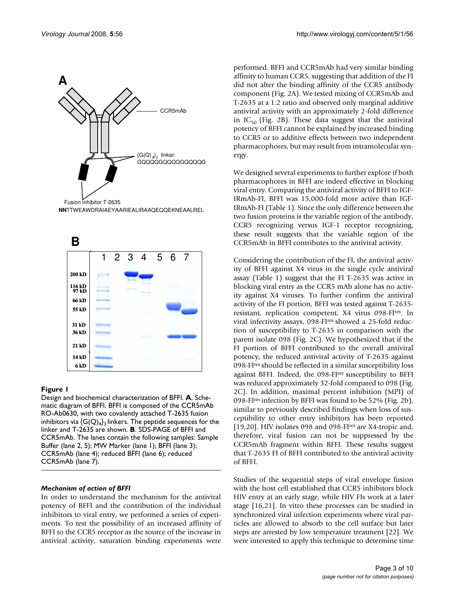

**NN**TTWEAWDRAIAEYAARIEALIRAAQEQQEKNEAALREL



# **Figure 1**

Design and biochemical characterization of BFFI. **A**. Schematic diagram of BFFI. BFFI is composed of the CCR5mAb RO-Ab0630, with two covalently attached T-2635 fusion inhibitors via  $\{G(Q)_4\}$ <sub>3</sub> linkers. The peptide sequences for the linker and T-2635 are shown. **B**. SDS-PAGE of BFFI and CCR5mAb. The lanes contain the following samples: Sample Buffer (lane 2, 5); MW Marker (lane 1); BFFI (lane 3); CCR5mAb (lane 4); reduced BFFI (lane 6); reduced CCR5mAb (lane 7).

# *Mechanism of action of BFFI*

In order to understand the mechanism for the antiviral potency of BFFI and the contribution of the individual inhibitors to viral entry, we performed a series of experiments. To test the possibility of an increased affinity of BFFI to the CCR5 receptor as the source of the increase in antiviral activity, saturation binding experiments were performed. BFFI and CCR5mAb had very similar binding affinity to human CCR5, suggesting that addition of the FI did not alter the binding affinity of the CCR5 antibody component (Fig. 2A). We tested mixing of CCR5mAb and T-2635 at a 1:2 ratio and observed only marginal additive antiviral activity with an approximately 2-fold difference in IC<sub>50</sub> (Fig. 2B). These data suggest that the antiviral potency of BFFI cannot be explained by increased binding to CCR5 or to additive effects between two independent pharmacophores, but may result from intramolecular synergy.

We designed several experiments to further explore if both pharmacophores in BFFI are indeed effective in blocking viral entry. Comparing the antiviral activity of BFFI to IGF-IRmAb-FI, BFFI was 15,000-fold more active than IGF-IRmAb-FI (Table 1). Since the only difference between the two fusion proteins is the variable region of the antibody, CCR5 recognizing versus IGF-1 receptor recognizing, these result suggests that the variable region of the CCR5mAb in BFFI contributes to the antiviral activity.

Considering the contribution of the FI, the antiviral activity of BFFI against X4 virus in the single cycle antiviral assay (Table 1) suggest that the FI T-2635 was active in blocking viral entry as the CCR5 mAb alone has no activity against X4 viruses. To further confirm the antiviral activity of the FI portion, BFFI was tested against T-2635 resistant, replication competent, X4 virus 098-FIres. In viral infectivity assays, 098-FIres showed a 25-fold reduction of susceptibility to T-2635 in comparison with the parent isolate 098 (Fig. 2C). We hypothesized that if the FI portion of BFFI contributed to the overall antiviral potency, the reduced antiviral activity of T-2635 against 098-FIres should be reflected in a similar susceptibility loss against BFFI. Indeed, the 098-FIres susceptibility to BFFI was reduced approximately 32-fold compared to 098 (Fig. 2C). In addition, maximal percent inhibition (MPI) of 098-FIres infection by BFFI was found to be 52% (Fig. 2b), similar to previously described findings when loss of susceptibility to other entry inhibitors has been reported [19,20]. HIV isolates 098 and 098-FI<sup>res</sup> are X4-tropic and, therefore, viral fusion can not be suppressed by the CCR5mAb fragment within BFFI. These results suggest that T-2635 FI of BFFI contributed to the antiviral activity of BFFI.

Studies of the sequential steps of viral envelope fusion with the host cell established that CCR5 inhibitors block HIV entry at an early stage, while HIV FIs work at a later stage [16,21]. In vitro these processes can be studied in synchronized viral infection experiments where viral particles are allowed to absorb to the cell surface but later steps are arrested by low temperature treatment [22]. We were interested to apply this technique to determine time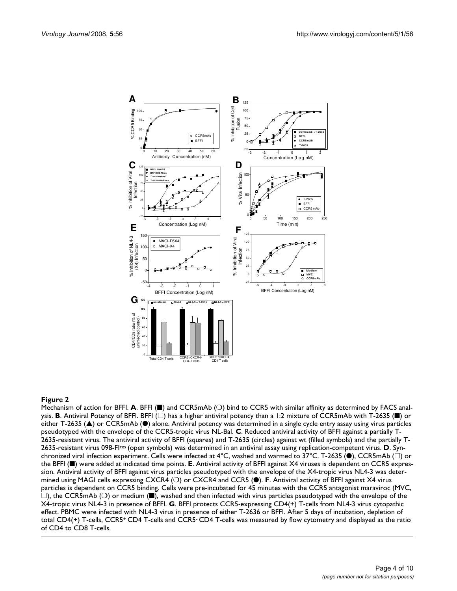

#### **Figure 2**

Mechanism of action for BFFI. **A**. BFFI (■) and CCR5mAb (○) bind to CCR5 with similar affinity as determined by FACS analysis. **B**. Antiviral Potency of BFFI. BFFI ( $\Box$ ) has a higher antiviral potency than a 1:2 mixture of CCR5mAb with T-2635 ( $\blacksquare$ ) or either T-2635 (▲) or CCR5mAb (●) alone. Antiviral potency was determined in a single cycle entry assay using virus particles pseudotyped with the envelope of the CCR5-tropic virus NL-Bal. **C**. Reduced antiviral activity of BFFI against a partially T-2635-resistant virus. The antiviral activity of BFFI (squares) and T-2635 (circles) against wt (filled symbols) and the partially T-2635-resistant virus 098-FIres (open symbols) was determined in an antiviral assay using replication-competent virus. **D**. Synchronized viral infection experiment. Cells were infected at 4°C, washed and warmed to 37°C. T-2635 ( $\bullet$ ), CCR5mAb ( $\Box$ ) or the BFFI (■) were added at indicated time points. **E**. Antiviral activity of BFFI against X4 viruses is dependent on CCR5 expression. Antiviral activity of BFFI against virus particles pseudotyped with the envelope of the X4-tropic virus NL4-3 was determined using MAGI cells expressing CXCR4 (❍) or CXCR4 and CCR5 (●). **F**. Antiviral activity of BFFI against X4 virus particles is dependent on CCR5 binding. Cells were pre-incubated for 45 minutes with the CCR5 antagonist maraviroc (MVC,  $\square$ ), the CCR5mAb ( $\bigcirc$ ) or medium ( $\square$ ), washed and then infected with virus particles pseudotyped with the envelope of the X4-tropic virus NL4-3 in presence of BFFI. **G**. BFFI protects CCR5-expressing CD4(+) T-cells from NL4-3 virus cytopathic effect. PBMC were infected with NL4-3 virus in presence of either T-2636 or BFFI. After 5 days of incubation, depletion of total CD4(+) T-cells, CCR5+ CD4 T-cells and CCR5- CD4 T-cells was measured by flow cytometry and displayed as the ratio of CD4 to CD8 T-cells.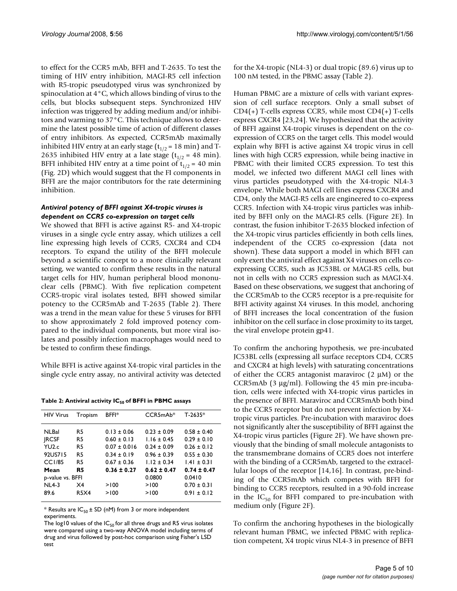*Virology Journal* 2008, 5:56 **http://www.virologyj.com/content/5/1/56** 

to effect for the CCR5 mAb, BFFI and T-2635. To test the timing of HIV entry inhibition, MAGI-R5 cell infection with R5-tropic pseudotyped virus was synchronized by spinoculation at 4°C, which allows binding of virus to the cells, but blocks subsequent steps. Synchronized HIV infection was triggered by adding medium and/or inhibitors and warming to 37°C. This technique allows to determine the latest possible time of action of different classes of entry inhibitors. As expected, CCR5mAb maximally inhibited HIV entry at an early stage  $(t_{1/2} = 18 \text{ min})$  and T-2635 inhibited HIV entry at a late stage  $(t_{1/2} = 48 \text{ min})$ . BFFI inhibited HIV entry at a time point of  $t_{1/2}$  = 40 min (Fig. 2D) which would suggest that the FI components in BFFI are the major contributors for the rate determining inhibition.

### *Antiviral potency of BFFI against X4-tropic viruses is dependent on CCR5 co-expression on target cells*

We showed that BFFI is active against R5- and X4-tropic viruses in a single cycle entry assay, which utilizes a cell line expressing high levels of CCR5, CXCR4 and CD4 receptors. To expand the utility of the BFFI molecule beyond a scientific concept to a more clinically relevant setting, we wanted to confirm these results in the natural target cells for HIV, human peripheral blood mononuclear cells (PBMC). With five replication competent CCR5-tropic viral isolates tested, BFFI showed similar potency to the CCR5mAb and T-2635 (Table 2). There was a trend in the mean value for these 5 viruses for BFFI to show approximately 2 fold improved potency compared to the individual components, but more viral isolates and possibly infection macrophages would need to be tested to confirm these findings.

While BFFI is active against X4-tropic viral particles in the single cycle entry assay, no antiviral activity was detected

Table 2: Antiviral activity IC<sub>50</sub> of BFFI in PBMC assays

| <b>HIV Virus</b>  | Tropism     | <b>BFFI*</b>     | $CCR5mAb*$      | $T-2635*$       |
|-------------------|-------------|------------------|-----------------|-----------------|
| <b>NLBal</b>      | R5          | $0.13 \pm 0.06$  | $0.23 + 0.09$   | $0.58 + 0.40$   |
| <b>IRCSF</b>      | R5          | $0.60 \pm 0.13$  | $1.16 + 0.45$   | $0.29 + 0.10$   |
| YU <sub>2.c</sub> | R5          | $0.07 \pm 0.016$ | $0.24 + 0.09$   | $0.26 + 0.12$   |
| 92US715           | <b>R5</b>   | $0.34 + 0.19$    | $0.96 + 0.39$   | $0.55 + 0.30$   |
| CC1/85            | R5          | $0.67 \pm 0.36$  | $1.12 \pm 0.34$ | $1.41 \pm 0.31$ |
| Mean              | R5          | $0.36 \pm 0.27$  | $0.62 \pm 0.47$ | $0.74 \pm 0.47$ |
| p-value vs. BFFI  |             | 0.0800           | 0.0410          |                 |
| $NL4-3$           | $\times$ 4  | >100             | >100            | $0.70 \pm 0.31$ |
| 89.6              | <b>R5X4</b> | >100             | >100            | $0.91 + 0.12$   |
|                   |             |                  |                 |                 |

\* Results are  $IC_{50}$  ± SD (nM) from 3 or more independent experiments.

The log10 values of the  $IC_{50}$  for all three drugs and R5 virus isolates were compared using a two-way ANOVA model including terms of drug and virus followed by post-hoc comparison using Fisher's LSD test

for the X4-tropic (NL4-3) or dual tropic (89.6) virus up to 100 nM tested, in the PBMC assay (Table 2).

Human PBMC are a mixture of cells with variant expression of cell surface receptors. Only a small subset of CD4(+) T-cells express CCR5, while most CD4(+) T-cells express CXCR4 [23,24]. We hypothesized that the activity of BFFI against X4-tropic viruses is dependent on the coexpression of CCR5 on the target cells. This model would explain why BFFI is active against X4 tropic virus in cell lines with high CCR5 expression, while being inactive in PBMC with their limited CCR5 expression. To test this model, we infected two different MAGI cell lines with virus particles pseudotyped with the X4-tropic NL4-3 envelope. While both MAGI cell lines express CXCR4 and CD4, only the MAGI-R5 cells are engineered to co-express CCR5. Infection with X4-tropic virus particles was inhibited by BFFI only on the MAGI-R5 cells. (Figure 2E). In contrast, the fusion inhibitor T-2635 blocked infection of the X4-tropic virus particles efficiently in both cells lines, independent of the CCR5 co-expression (data not shown). These data support a model in which BFFI can only exert the antiviral effect against X4 viruses on cells coexpressing CCR5, such as JC53BL or MAGI-R5 cells, but not in cells with no CCR5 expression such as MAGI-X4. Based on these observations, we suggest that anchoring of the CCR5mAb to the CCR5 receptor is a pre-requisite for BFFI activity against X4 viruses. In this model, anchoring of BFFI increases the local concentration of the fusion inhibitor on the cell surface in close proximity to its target, the viral envelope protein gp41.

To confirm the anchoring hypothesis, we pre-incubated JC53BL cells (expressing all surface receptors CD4, CCR5 and CXCR4 at high levels) with saturating concentrations of either the CCR5 antagonist maraviroc  $(2 \mu M)$  or the CCR5mAb  $(3 \mu g/ml)$ . Following the 45 min pre-incubation, cells were infected with X4-tropic virus particles in the presence of BFFI. Maraviroc and CCR5mAb both bind to the CCR5 receptor but do not prevent infection by X4 tropic virus particles. Pre-incubation with maraviroc does not significantly alter the susceptibility of BFFI against the X4-tropic virus particles (Figure 2F). We have shown previously that the binding of small molecule antagonists to the transmembrane domains of CCR5 does not interfere with the binding of a CCR5mAb, targeted to the extracellular loops of the receptor [14,16]. In contrast, pre-binding of the CCR5mAb which competes with BFFI for binding to CCR5 receptors, resulted in a 90-fold increase in the  $IC_{50}$  for BFFI compared to pre-incubation with medium only (Figure 2F).

To confirm the anchoring hypotheses in the biologically relevant human PBMC, we infected PBMC with replication competent, X4 tropic virus NL4-3 in presence of BFFI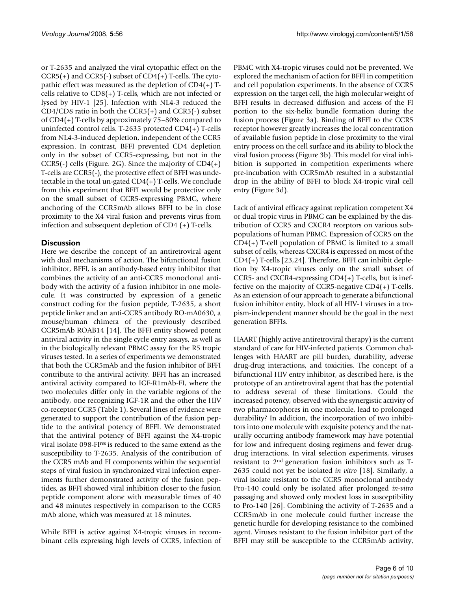or T-2635 and analyzed the viral cytopathic effect on the CCR5(+) and CCR5(-) subset of CD4(+) T-cells. The cytopathic effect was measured as the depletion of  $CD4(+)$  Tcells relative to CD8(+) T-cells, which are not infected or lysed by HIV-1 [25]. Infection with NL4-3 reduced the CD4/CD8 ratio in both the CCR5(+) and CCR5(-) subset of CD4(+) T-cells by approximately 75–80% compared to uninfected control cells. T-2635 protected CD4(+) T-cells from NL4-3-induced depletion, independent of the CCR5 expression. In contrast, BFFI prevented CD4 depletion only in the subset of CCR5-expressing, but not in the CCR5(-) cells (Figure. 2G). Since the majority of CD4(+) T-cells are CCR5(-), the protective effect of BFFI was undetectable in the total un-gated  $CD4(+)$  T-cells. We conclude from this experiment that BFFI would be protective only on the small subset of CCR5-expressing PBMC, where anchoring of the CCR5mAb allows BFFI to be in close proximity to the X4 viral fusion and prevents virus from infection and subsequent depletion of CD4 (+) T-cells.

# **Discussion**

Here we describe the concept of an antiretroviral agent with dual mechanisms of action. The bifunctional fusion inhibitor, BFFI, is an antibody-based entry inhibitor that combines the activity of an anti-CCR5 monoclonal antibody with the activity of a fusion inhibitor in one molecule. It was constructed by expression of a genetic construct coding for the fusion peptide, T-2635, a short peptide linker and an anti-CCR5 antibody RO-mA0630, a mouse/human chimera of the previously described CCR5mAb ROAB14 [14]. The BFFI entity showed potent antiviral activity in the single cycle entry assays, as well as in the biologically relevant PBMC assay for the R5 tropic viruses tested. In a series of experiments we demonstrated that both the CCR5mAb and the fusion inhibitor of BFFI contribute to the antiviral activity. BFFI has an increased antiviral activity compared to IGF-R1mAb-FI, where the two molecules differ only in the variable regions of the antibody, one recognizing IGF-1R and the other the HIV co-receptor CCR5 (Table 1). Several lines of evidence were generated to support the contribution of the fusion peptide to the antiviral potency of BFFI. We demonstrated that the antiviral potency of BFFI against the X4-tropic viral isolate 098-FIres is reduced to the same extend as the susceptibility to T-2635. Analysis of the contribution of the CCR5 mAb and FI components within the sequential steps of viral fusion in synchronized viral infection experiments further demonstrated activity of the fusion peptides, as BFFI showed viral inhibition closer to the fusion peptide component alone with measurable times of 40 and 48 minutes respectively in comparison to the CCR5 mAb alone, which was measured at 18 minutes.

While BFFI is active against X4-tropic viruses in recombinant cells expressing high levels of CCR5, infection of PBMC with X4-tropic viruses could not be prevented. We explored the mechanism of action for BFFI in competition and cell population experiments. In the absence of CCR5 expression on the target cell, the high molecular weight of BFFI results in decreased diffusion and access of the FI portion to the six-helix bundle formation during the fusion process (Figure 3a). Binding of BFFI to the CCR5 receptor however greatly increases the local concentration of available fusion peptide in close proximity to the viral entry process on the cell surface and its ability to block the viral fusion process (Figure 3b). This model for viral inhibition is supported in competition experiments where pre-incubation with CCR5mAb resulted in a substantial drop in the ability of BFFI to block X4-tropic viral cell entry (Figure 3d).

Lack of antiviral efficacy against replication competent X4 or dual tropic virus in PBMC can be explained by the distribution of CCR5 and CXCR4 receptors on various subpopulations of human PBMC. Expression of CCR5 on the CD4(+) T-cell population of PBMC is limited to a small subset of cells, whereas CXCR4 is expressed on most of the CD4(+) T-cells [23,24]. Therefore, BFFI can inhibit depletion by X4-tropic viruses only on the small subset of CCR5- and CXCR4-expressing CD4(+) T-cells, but is ineffective on the majority of CCR5-negative CD4(+) T-cells. As an extension of our approach to generate a bifunctional fusion inhibitor entity, block of all HIV-1 viruses in a tropism-independent manner should be the goal in the next generation BFFIs.

HAART (highly active antiretroviral therapy) is the current standard of care for HIV-infected patients. Common challenges with HAART are pill burden, durability, adverse drug-drug interactions, and toxicities. The concept of a bifunctional HIV entry inhibitor, as described here, is the prototype of an antiretroviral agent that has the potential to address several of these limitations. Could the increased potency, observed with the synergistic activity of two pharmacophores in one molecule, lead to prolonged durability? In addition, the incorporation of two inhibitors into one molecule with exquisite potency and the naturally occurring antibody framework may have potential for low and infrequent dosing regimens and fewer drugdrug interactions. In viral selection experiments, viruses resistant to 2nd generation fusion inhibitors such as T-2635 could not yet be isolated *in vitro* [18]. Similarly, a viral isolate resistant to the CCR5 monoclonal antibody Pro-140 could only be isolated after prolonged *in-vitro* passaging and showed only modest loss in susceptibility to Pro-140 [26]. Combining the activity of T-2635 and a CCR5mAb in one molecule could further increase the genetic hurdle for developing resistance to the combined agent. Viruses resistant to the fusion inhibitor part of the BFFI may still be susceptible to the CCR5mAb activity,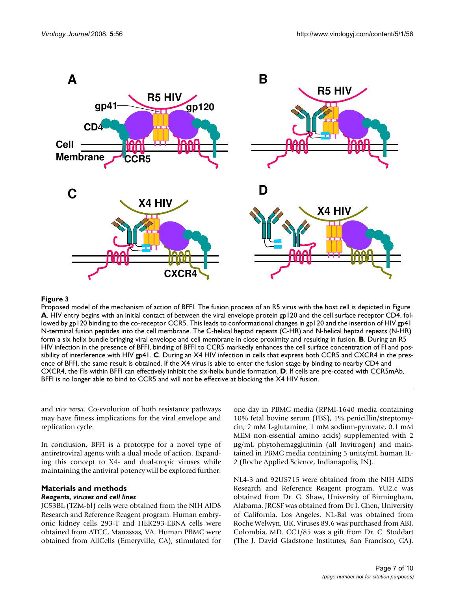

# **Figure 3**

Proposed model of the mechanism of action of BFFI. The fusion process of an R5 virus with the host cell is depicted in Figure **A**. HIV entry begins with an initial contact of between the viral envelope protein gp120 and the cell surface receptor CD4, followed by gp120 binding to the co-receptor CCR5. This leads to conformational changes in gp120 and the insertion of HIV gp41 N-terminal fusion peptides into the cell membrane. The C-helical heptad repeats (C-HR) and N-helical heptad repeats (N-HR) form a six helix bundle bringing viral envelope and cell membrane in close proximity and resulting in fusion. **B**. During an R5 HIV infection in the presence of BFFI, binding of BFFI to CCR5 markedly enhances the cell surface concentration of FI and possibility of interference with HIV gp41. **C**. During an X4 HIV infection in cells that express both CCR5 and CXCR4 in the presence of BFFI, the same result is obtained. If the X4 virus is able to enter the fusion stage by binding to nearby CD4 and CXCR4, the FIs within BFFI can effectively inhibit the six-helix bundle formation. **D**. If cells are pre-coated with CCR5mAb, BFFI is no longer able to bind to CCR5 and will not be effective at blocking the X4 HIV fusion.

and *vice versa*. Co-evolution of both resistance pathways may have fitness implications for the viral envelope and replication cycle.

In conclusion, BFFI is a prototype for a novel type of antiretroviral agents with a dual mode of action. Expanding this concept to X4- and dual-tropic viruses while maintaining the antiviral potency will be explored further.

# **Materials and methods**

# *Reagents, viruses and cell lines*

JC53BL (TZM-bl) cells were obtained from the NIH AIDS Research and Reference Reagent program. Human embryonic kidney cells 293-T and HEK293-EBNA cells were obtained from ATCC, Manassas, VA. Human PBMC were obtained from AllCells (Emeryville, CA), stimulated for one day in PBMC media (RPMI-1640 media containing 10% fetal bovine serum (FBS), 1% penicillin/streptomycin, 2 mM L-glutamine, 1 mM sodium-pyruvate, 0.1 mM MEM non-essential amino acids) supplemented with 2 μg/mL phytohemagglutinin (all Invitrogen) and maintained in PBMC media containing 5 units/mL human IL-2 (Roche Applied Science, Indianapolis, IN).

NL4-3 and 92US715 were obtained from the NIH AIDS Research and Reference Reagent program. YU2.c was obtained from Dr. G. Shaw, University of Birmingham, Alabama. JRCSF was obtained from Dr I. Chen, University of California, Los Angeles. NL-Bal was obtained from Roche Welwyn, UK. Viruses 89.6 was purchased from ABI, Colombia, MD. CC1/85 was a gift from Dr. C. Stoddart (The J. David Gladstone Institutes, San Francisco, CA).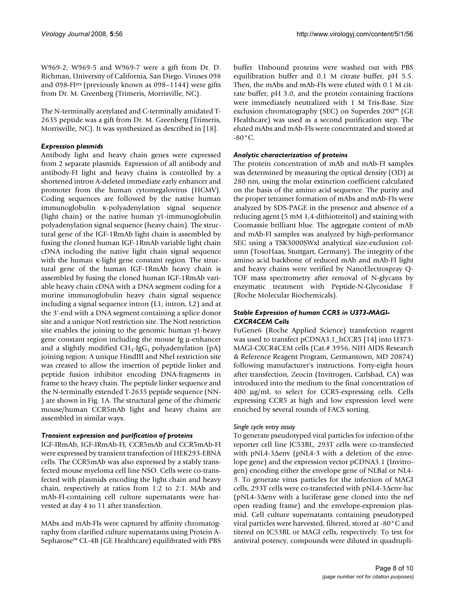W969-2, W969-5 and W969-7 were a gift from Dr. D. Richman, University of California, San Diego. Viruses 098 and 098-FIres (previously known as 098–1144) were gifts from Dr. M. Greenberg (Trimeris, Morrisville, NC).

The N-terminally acetylated and C-terminally amidated T-2635 peptide was a gift from Dr. M. Greenberg (Trimeris, Morrisville, NC). It was synthesized as described in [18].

# *Expression plasmids*

Antibody light and heavy chain genes were expressed from 2 separate plasmids. Expression of all antibody and antibody-FI light and heavy chains is controlled by a shortened intron A-deleted immediate early enhancer and promoter from the human cytomegalovirus (HCMV). Coding sequences are followed by the native human immunoglobulin κ-polyadenylation signal sequence (light chain) or the native human γ1-immunoglobulin polyadenylation signal sequence (heavy chain). The structural gene of the IGF-1RmAb light chain is assembled by fusing the cloned human IGF-1RmAb variable light chain cDNA including the native light chain signal sequence with the human κ-light gene constant region. The structural gene of the human IGF-1RmAb heavy chain is assembled by fusing the cloned human IGF-1RmAb variable heavy chain cDNA with a DNA segment coding for a murine immunoglobulin heavy chain signal sequence including a signal sequence intron (L1, intron, L2) and at the 3'-end with a DNA segment containing a splice donor site and a unique NotI restriction site. The NotI restriction site enables the joining to the genomic human  $\gamma$ 1-heavy gene constant region including the mouse Ig μ-enhancer and a slightly modified  $CH_3$ -IgG<sub>1</sub> polyadenylation (pA) joining region: A unique HindIII and NheI restriction site was created to allow the insertion of peptide linker and peptide fusion inhibitor encoding DNA-fragments in frame to the heavy chain. The peptide linker sequence and the N-terminally extended T-2635 peptide sequence (NN- ) are shown in Fig. 1A. The structural gene of the chimeric mouse/human CCR5mAb light and heavy chains are assembled in similar ways.

# *Transient expression and purification of proteins*

IGF-IRmAb, IGF-IRmAb-FI, CCR5mAb and CCR5mAb-FI were expressed by transient transfection of HEK293-EBNA cells. The CCR5mAb was also expressed by a stably transfected mouse myeloma cell line NSO. Cells were co-transfected with plasmids encoding the light chain and heavy chain, respectively at ratios from 1:2 to 2:1. MAb and mAb-FI-containing cell culture supernatants were harvested at day 4 to 11 after transfection.

MAbs and mAb-FIs were captured by affinity chromatography from clarified culture supernatants using Protein A-Sepharose™ CL-4B (GE Healthcare) equilibrated with PBS

buffer. Unbound proteins were washed out with PBS equilibration buffer and 0.1 M citrate buffer, pH 5.5. Then, the mAbs and mAb-FIs were eluted with 0.1 M citrate buffer, pH 3.0, and the protein containing fractions were immediately neutralized with 1 M Tris-Base. Size exclusion chromatography (SEC) on Superdex 200™ (GE Healthcare) was used as a second purification step. The eluted mAbs and mAb-FIs were concentrated and stored at  $-80^{\circ}$ C.

# *Analytic characterization of proteins*

The protein concentration of mAb and mAb-FI samples was determined by measuring the optical density (OD) at 280 nm, using the molar extinction coefficient calculated on the basis of the amino acid sequence. The purity and the proper tetramer formation of mAbs and mAb-FIs were analyzed by SDS-PAGE in the presence and absence of a reducing agent (5 mM 1,4-dithiotreitol) and staining with Coomassie brilliant blue. The aggregate content of mAb and mAb-FI samples was analyzed by high-performance SEC using a TSK3000SWxl analytical size-exclusion column (TosoHaas, Stuttgart, Germany). The integrity of the amino acid backbone of reduced mAb and mAb-FI light and heavy chains were verified by NanoElectrospray Q-TOF mass spectrometry after removal of N-glycans by enzymatic treatment with Peptide-N-Glycosidase F (Roche Molecular Biochemicals).

# *Stable Expression of human CCR5 in U373-MAGI-CXCR4CEM Cells*

FuGene6 (Roche Applied Science) transfection reagent was used to transfect pCDNA3.1\_hCCR5 [14] into U373- MAGI-CXCR4CEM cells (Cat.# 3956, NIH AIDS Research & Reference Reagent Program, Germantown, MD 20874) following manufacturer's instructions. Forty-eight hours after transfection, Zeocin (Invitrogen, Carlsbad, CA) was introduced into the medium to the final concentration of 400 μg/mL to select for CCR5-expressing cells. Cells expressing CCR5 at high and low expression level were enriched by several rounds of FACS sorting.

# *Single cycle entry assay*

To generate pseudotyped viral particles for infection of the reporter cell line JC53BL, 293T cells were co-transfected with pNL4-3Δenv (pNL4-3 with a deletion of the envelope gene) and the expression vector pCDNA3.1 (Invitrogen) encoding either the envelope gene of NLBal or NL4- 3. To generate virus particles for the infection of MAGI cells, 293T cells were co-transfected with pNL4-3Δenv-luc (pNL4-3Δenv with a luciferase gene cloned into the nef open reading frame) and the envelope-expression plasmid. Cell culture supernatants containing pseudotyped viral particles were harvested, filtered, stored at -80°C and titered on JC53BL or MAGI cells, respectively. To test for antiviral potency, compounds were diluted in quadrupli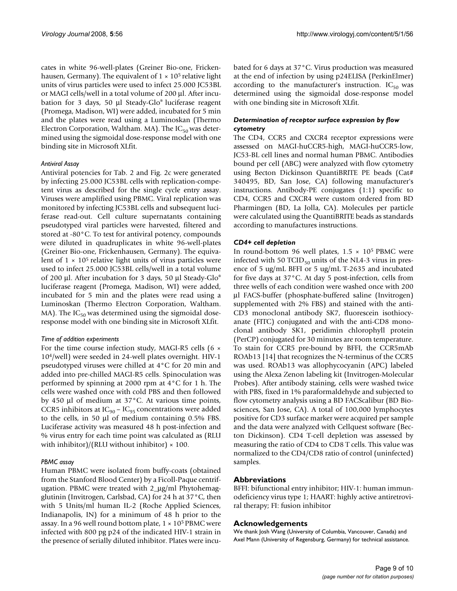cates in white 96-well-plates (Greiner Bio-one, Frickenhausen, Germany). The equivalent of  $1 \times 10^5$  relative light units of virus particles were used to infect 25.000 JC53BL or MAGI cells/well in a total volume of 200 μl. After incubation for 3 days, 50 μl Steady-Glo® luciferase reagent (Promega, Madison, WI) were added, incubated for 5 min and the plates were read using a Luminoskan (Thermo Electron Corporation, Waltham. MA). The  $IC_{50}$  was determined using the sigmoidal dose-response model with one binding site in Microsoft XLfit.

### *Antiviral Assay*

Antiviral potencies for Tab. 2 and Fig. 2c were generated by infecting 25.000 JC53BL cells with replication-competent virus as described for the single cycle entry assay. Viruses were amplified using PBMC. Viral replication was monitored by infecting JC53BL cells and subsequent luciferase read-out. Cell culture supernatants containing pseudotyped viral particles were harvested, filtered and stored at -80°C. To test for antiviral potency, compounds were diluted in quadruplicates in white 96-well-plates (Greiner Bio-one, Frickenhausen, Germany). The equivalent of  $1 \times 10^5$  relative light units of virus particles were used to infect 25.000 JC53BL cells/well in a total volume of 200 μl. After incubation for 3 days, 50 μl Steady-Glo® luciferase reagent (Promega, Madison, WI) were added, incubated for 5 min and the plates were read using a Luminoskan (Thermo Electron Corporation, Waltham. MA). The  $IC_{50}$  was determined using the sigmoidal doseresponse model with one binding site in Microsoft XLfit.

# *Time of addition experiments*

For the time course infection study, MAGI-R5 cells (6 × 104/well) were seeded in 24-well plates overnight. HIV-1 pseudotyped viruses were chilled at 4°C for 20 min and added into pre-chilled MAGI-R5 cells. Spinoculation was performed by spinning at 2000 rpm at 4°C for 1 h. The cells were washed once with cold PBS and then followed by 450 μl of medium at 37°C. At various time points, CCR5 inhibitors at  $IC_{90}$  –  $IC_{95}$  concentrations were added to the cells, in 50 μl of medium containing 0.5% FBS. Luciferase activity was measured 48 h post-infection and % virus entry for each time point was calculated as (RLU with inhibitor)/(RLU without inhibitor)  $\times$  100.

# *PBMC assay*

Human PBMC were isolated from buffy-coats (obtained from the Stanford Blood Center) by a Ficoll-Paque centrifugation. PBMC were treated with 2\_μg/ml Phytohemagglutinin (Invitrogen, Carlsbad, CA) for 24 h at 37°C, then with 5 Units/ml human IL-2 (Roche Applied Sciences, Indianapolis, IN) for a minimum of 48 h prior to the assay. In a 96 well round bottom plate,  $1 \times 10^5$  PBMC were infected with 800 pg p24 of the indicated HIV-1 strain in the presence of serially diluted inhibitor. Plates were incubated for 6 days at 37°C. Virus production was measured at the end of infection by using p24ELISA (PerkinElmer) according to the manufacturer's instruction.  $IC_{50}$  was determined using the sigmoidal dose-response model with one binding site in Microsoft XLfit.

# *Determination of receptor surface expression by flow cytometry*

The CD4, CCR5 and CXCR4 receptor expressions were assessed on MAGI-huCCR5-high, MAGI-huCCR5-low, JC53-BL cell lines and normal human PBMC. Antibodies bound per cell (ABC) were analyzed with flow cytometry using Becton Dickinson QuantiBRITE PE beads (Cat# 340495, BD, San Jose, CA) following manufacturer's instructions. Antibody-PE conjugates (1:1) specific to CD4, CCR5 and CXCR4 were custom ordered from BD Pharmingen (BD, La Jolla, CA). Molecules per particle were calculated using the QuantiBRITE beads as standards according to manufactures instructions.

# *CD4+ cell depletion*

In round-bottom 96 well plates,  $1.5 \times 10^5$  PBMC were infected with 50 TCID $_{50}$  units of the NL4-3 virus in presence of 5 ug/mL BFFI or 5 ug/mL T-2635 and incubated for five days at 37°C. At day 5 post-infection, cells from three wells of each condition were washed once with 200 μl FACS-buffer (phosphate-buffered saline (Invitrogen) supplemented with 2% FBS) and stained with the anti-CD3 monoclonal antibody SK7, fluorescein isothiocyanate (FITC) conjugated and with the anti-CD8 monoclonal antibody SK1, peridimin chlorophyll protein (PerCP) conjugated for 30 minutes are room temperature. To stain for CCR5 pre-bound by BFFI, the CCR5mAb ROAb13 [14] that recognizes the N-terminus of the CCR5 was used. ROAb13 was allophycocyanin (APC) labeled using the Alexa Zenon labeling kit (Invitrogen-Molecular Probes). After antibody staining, cells were washed twice with PBS, fixed in 1% paraformaldehyde and subjected to flow cytometry analysis using a BD FACScalibur (BD Biosciences, San Jose, CA). A total of 100,000 lymphocytes positive for CD3 surface marker were acquired per sample and the data were analyzed with Cellquest software (Becton Dickinson). CD4 T-cell depletion was assessed by measuring the ratio of CD4 to CD8 T cells. This value was normalized to the CD4/CD8 ratio of control (uninfected) samples.

# **Abbreviations**

BFFI: bifunctional entry inhibitor; HIV-1: human immunodeficiency virus type 1; HAART: highly active antiretroviral therapy; FI: fusion inhibitor

# **Acknowledgements**

We thank Josh Wang (University of Columbia, Vancouver, Canada) and Axel Mann (University of Regensburg, Germany) for technical assistance.